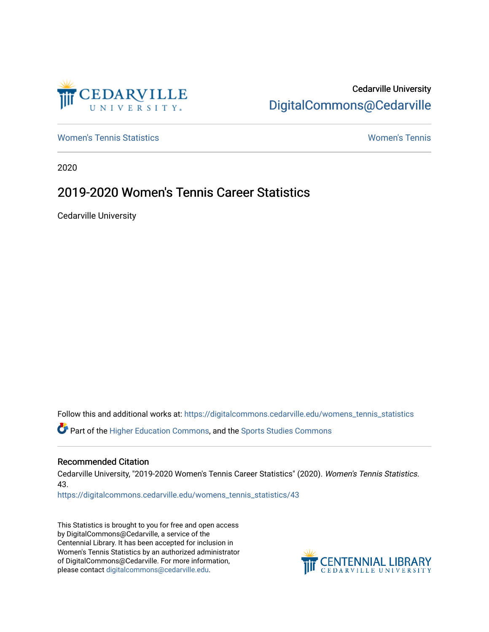

Cedarville University [DigitalCommons@Cedarville](https://digitalcommons.cedarville.edu/) 

[Women's Tennis Statistics](https://digitalcommons.cedarville.edu/womens_tennis_statistics) [Women's Tennis](https://digitalcommons.cedarville.edu/womens_tennis) 

2020

# 2019-2020 Women's Tennis Career Statistics

Cedarville University

Follow this and additional works at: [https://digitalcommons.cedarville.edu/womens\\_tennis\\_statistics](https://digitalcommons.cedarville.edu/womens_tennis_statistics?utm_source=digitalcommons.cedarville.edu%2Fwomens_tennis_statistics%2F43&utm_medium=PDF&utm_campaign=PDFCoverPages) 

Part of the [Higher Education Commons,](http://network.bepress.com/hgg/discipline/1245?utm_source=digitalcommons.cedarville.edu%2Fwomens_tennis_statistics%2F43&utm_medium=PDF&utm_campaign=PDFCoverPages) and the [Sports Studies Commons](http://network.bepress.com/hgg/discipline/1198?utm_source=digitalcommons.cedarville.edu%2Fwomens_tennis_statistics%2F43&utm_medium=PDF&utm_campaign=PDFCoverPages) 

### Recommended Citation

Cedarville University, "2019-2020 Women's Tennis Career Statistics" (2020). Women's Tennis Statistics. 43.

[https://digitalcommons.cedarville.edu/womens\\_tennis\\_statistics/43](https://digitalcommons.cedarville.edu/womens_tennis_statistics/43?utm_source=digitalcommons.cedarville.edu%2Fwomens_tennis_statistics%2F43&utm_medium=PDF&utm_campaign=PDFCoverPages) 

This Statistics is brought to you for free and open access by DigitalCommons@Cedarville, a service of the Centennial Library. It has been accepted for inclusion in Women's Tennis Statistics by an authorized administrator of DigitalCommons@Cedarville. For more information, please contact [digitalcommons@cedarville.edu](mailto:digitalcommons@cedarville.edu).

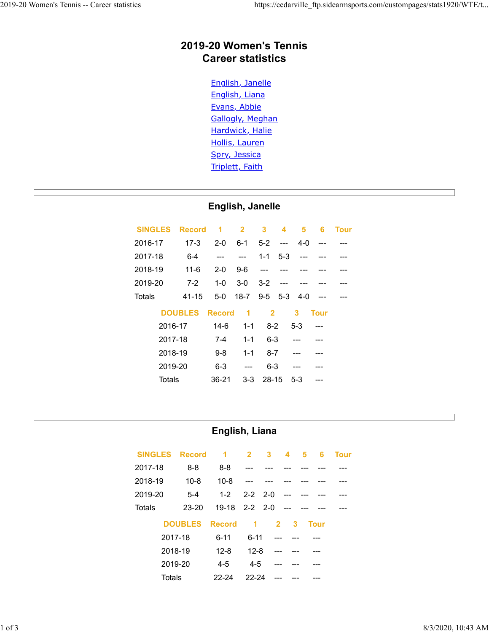# 2019-20 Women's Tennis Career statistics 2019-20 Women's Tennis -- Career statistics https://cedarville\_ftp.sidearmsports.com/custompages/stats1920/WTE/t...<br>2019-20 Women's Tennis<br>Careor statistics

### English, Janelle

|                | 2019-20 Women's Tennis | <b>Career statistics</b>                                                                                                                                             |                          |                |                          |                         |             |             |  |  |  |
|----------------|------------------------|----------------------------------------------------------------------------------------------------------------------------------------------------------------------|--------------------------|----------------|--------------------------|-------------------------|-------------|-------------|--|--|--|
|                |                        | English, Janelle<br>English, Liana<br>Evans, Abbie<br><b>Gallogly, Meghan</b><br>Hardwick, Halie<br><b>Hollis, Lauren</b><br>Spry, Jessica<br><b>Triplett, Faith</b> |                          |                |                          |                         |             |             |  |  |  |
|                |                        | English, Janelle                                                                                                                                                     |                          |                |                          |                         |             |             |  |  |  |
| <b>SINGLES</b> | <b>Record</b>          | 1                                                                                                                                                                    | $\mathbf{2}$             | $\mathbf{3}$   | 4                        | $\overline{\mathbf{5}}$ | 6           | <b>Tour</b> |  |  |  |
| 2016-17        | $17-3$                 | $2 - 0$                                                                                                                                                              | $6 - 1$                  | $5-2$          | $\hspace{0.05cm} \ldots$ | $4 - 0$                 | ---         |             |  |  |  |
| 2017-18        | $6 - 4$                | $\overline{a}$                                                                                                                                                       | $\hspace{0.05cm} \ldots$ | $1 - 1$        | $5-3$                    | ---                     |             |             |  |  |  |
| 2018-19        | $11 - 6$               | $2 - 0$                                                                                                                                                              | $9-6$                    | ---            |                          |                         |             |             |  |  |  |
| 2019-20        | $7 - 2$                | $1-0$                                                                                                                                                                | $3-0$                    | $3 - 2$        | ---                      | ---                     |             |             |  |  |  |
| <b>Totals</b>  | $41 - 15$              | $5-0$                                                                                                                                                                | $18 - 7$                 | $9-5$          | $5-3$                    | $4 - 0$                 | $--$        |             |  |  |  |
|                | <b>DOUBLES</b>         | <b>Record</b>                                                                                                                                                        | 1                        | $\overline{2}$ |                          | 3                       | <b>Tour</b> |             |  |  |  |
| 2016-17        |                        | $14-6$                                                                                                                                                               | $1 - 1$                  | $8 - 2$        |                          | $5-3$                   |             |             |  |  |  |
| 2017-18        |                        | $7 - 4$                                                                                                                                                              | $1 - 1$                  | $6 - 3$        |                          |                         |             |             |  |  |  |
| 2018-19        |                        | $9 - 8$                                                                                                                                                              | $1 - 1$                  | $8 - 7$        |                          | ---                     | ---         |             |  |  |  |
| 2019-20        |                        | $6 - 3$                                                                                                                                                              | $\overline{\phantom{a}}$ | $6 - 3$        |                          | $---$                   | ---         |             |  |  |  |
| <b>Totals</b>  |                        | $36 - 21$                                                                                                                                                            | $3-3$                    | $28 - 15$      |                          | $5-3$                   | ---         |             |  |  |  |
|                |                        |                                                                                                                                                                      |                          |                |                          |                         |             |             |  |  |  |
|                |                        | English, Liana                                                                                                                                                       |                          |                |                          |                         |             |             |  |  |  |
| <b>SINGLES</b> | <b>Record</b>          | 1                                                                                                                                                                    | $\overline{2}$           | 3              | 4                        | 5                       | 6           | <b>Tour</b> |  |  |  |
| 2017-18        | $8 - 8$                | $8 - 8$                                                                                                                                                              |                          |                |                          |                         |             |             |  |  |  |
| 2018-19        | $10 - 8$               | $10 - 8$                                                                                                                                                             |                          |                |                          |                         |             |             |  |  |  |
| 2019-20        | $5-4$                  | $1 - 2$                                                                                                                                                              | $2 - 2$                  | $2 - 0$        |                          |                         |             |             |  |  |  |
| <b>Totals</b>  | 23-20                  | 19-18                                                                                                                                                                | $2 - 2$                  | $2 - 0$        |                          |                         |             |             |  |  |  |
|                | <b>DOUBLES</b>         | <b>Record</b>                                                                                                                                                        | 1                        |                | $\overline{\mathbf{2}}$  | $\mathbf{3}$            | <b>Tour</b> |             |  |  |  |
|                |                        |                                                                                                                                                                      |                          |                |                          |                         |             |             |  |  |  |

## English, Liana

| Totals         | $41 - 15$      |                | 5-0 18-7 9-5 5-3                          | $4-0$                                              |                |             |  |                     |
|----------------|----------------|----------------|-------------------------------------------|----------------------------------------------------|----------------|-------------|--|---------------------|
|                | <b>DOUBLES</b> | <b>Record</b>  | $\overline{\mathbf{2}}$<br>$\blacksquare$ | 3                                                  | <b>Tour</b>    |             |  |                     |
|                | 2016-17        | $14-6$         | $1 - 1$<br>$8 - 2$                        | $5-3$                                              | ---            |             |  |                     |
|                | 2017-18        | $7 - 4$        | $1 - 1$<br>$6 - 3$                        | $\overline{a}$                                     |                |             |  |                     |
|                | 2018-19        | $9-8$          | $1 - 1$<br>$8 - 7$                        | ---                                                |                |             |  |                     |
|                | 2019-20        | $6 - 3$        | $6 - 3$<br>$\overline{\phantom{a}}$       | ---                                                |                |             |  |                     |
|                | <b>Totals</b>  | $36 - 21$      | $3 - 3$<br>28-15                          | $5-3$                                              | ---            |             |  |                     |
|                |                |                |                                           |                                                    |                |             |  |                     |
|                |                |                |                                           |                                                    |                |             |  |                     |
|                |                |                |                                           |                                                    |                |             |  |                     |
|                |                |                | English, Liana                            |                                                    |                |             |  |                     |
| <b>SINGLES</b> | <b>Record</b>  | $\overline{1}$ | $\overline{2}$<br>$\mathbf{3}$            | $\overline{\mathbf{4}}$<br>$\overline{\mathbf{5}}$ | $6\phantom{a}$ | <b>Tour</b> |  |                     |
| 2017-18        | $8 - 8$        | $8 - 8$        |                                           |                                                    |                |             |  |                     |
| 2018-19        | $10 - 8$       | $10 - 8$       | ---                                       |                                                    |                |             |  |                     |
| 2019-20        | $5-4$          | $1 - 2$        | $2 - 2$<br>$2 - 0$                        |                                                    |                |             |  |                     |
| <b>Totals</b>  | 23-20          | $19 - 18$      | $2 - 2$<br>$2 - 0$                        |                                                    |                |             |  |                     |
|                | <b>DOUBLES</b> | <b>Record</b>  | $\overline{1}$                            | $\overline{\mathbf{2}}$<br>$\mathbf{3}$            | <b>Tour</b>    |             |  |                     |
|                | 2017-18        | $6 - 11$       | $6 - 11$                                  | ---                                                |                |             |  |                     |
|                | 2018-19        | $12 - 8$       | $12 - 8$                                  | ---                                                |                |             |  |                     |
|                | 2019-20        | $4 - 5$        | $4 - 5$                                   | ---                                                |                |             |  |                     |
|                | <b>Totals</b>  | 22-24          | 22-24                                     |                                                    |                |             |  |                     |
|                |                |                |                                           |                                                    |                |             |  |                     |
|                |                |                |                                           |                                                    |                |             |  |                     |
|                |                |                |                                           |                                                    |                |             |  |                     |
|                |                |                |                                           |                                                    |                |             |  | $8/3/2020$ 10.43 AM |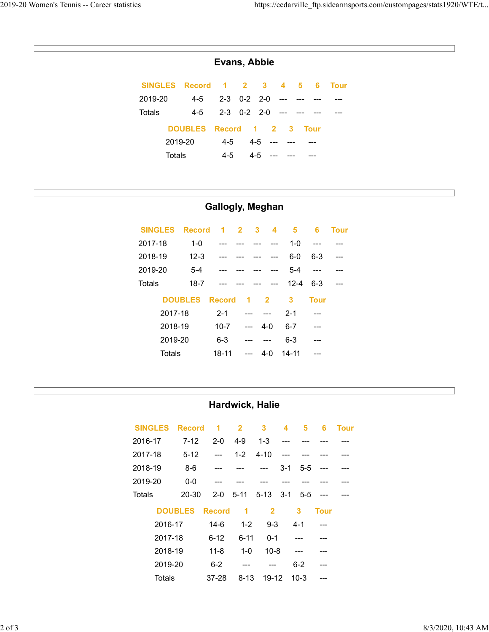## Evans, Abbie

| s              |                |                      |                |                      |                         |                              |                 |             | https://cedarville_ftp.sidearmsports.com/custompages/stats1920/WTE/t |
|----------------|----------------|----------------------|----------------|----------------------|-------------------------|------------------------------|-----------------|-------------|----------------------------------------------------------------------|
|                |                |                      |                |                      |                         |                              |                 |             |                                                                      |
|                |                |                      |                |                      |                         |                              |                 |             |                                                                      |
|                |                | Evans, Abbie         |                |                      |                         |                              |                 |             |                                                                      |
| <b>SINGLES</b> | <b>Record</b>  | $\blacktriangleleft$ | $\overline{2}$ | $\mathbf{3}$         |                         | $\overline{\mathbf{5}}$<br>4 | $6\phantom{1}6$ | <b>Tour</b> |                                                                      |
| 2019-20        | $4 - 5$        | $2 - 3$              | $0 - 2$        | $2 - 0$              |                         |                              |                 |             |                                                                      |
| <b>Totals</b>  | $4 - 5$        | $2 - 3$              |                | $0-2$ 2-0            |                         |                              |                 |             |                                                                      |
|                | <b>DOUBLES</b> | <b>Record</b>        |                | $\blacktriangleleft$ | $\overline{2}$          | $\mathbf{3}$                 | <b>Tour</b>     |             |                                                                      |
|                | 2019-20        | $4 - 5$              |                | $4 - 5$              | ---                     |                              |                 |             |                                                                      |
| <b>Totals</b>  |                | $4 - 5$              |                | $4 - 5$              |                         |                              |                 |             |                                                                      |
|                |                |                      |                |                      |                         |                              |                 |             |                                                                      |
|                |                |                      |                |                      |                         |                              |                 |             |                                                                      |
|                |                |                      |                |                      | <b>Gallogly, Meghan</b> |                              |                 |             |                                                                      |
| <b>SINGLES</b> | <b>Record</b>  | 1                    | $\overline{2}$ | 3                    | 4                       | $\overline{\mathbf{5}}$      | $6\phantom{1}6$ | <b>Tour</b> |                                                                      |
| 2017-18        | $1-0$          |                      |                |                      | ---                     | $1-0$                        | $\overline{a}$  |             |                                                                      |
| 2018-19        | $12 - 3$       |                      |                |                      | ---                     | $6-0$                        | $6 - 3$         | ---         |                                                                      |
| 2019-20        | $5-4$          |                      |                |                      |                         | $5-4$                        | $\overline{a}$  |             |                                                                      |
| <b>Totals</b>  | $18 - 7$       |                      |                |                      |                         | $12 - 4$                     | $6 - 3$         | ---         |                                                                      |
|                |                |                      |                |                      |                         |                              |                 |             |                                                                      |

## Gallogly, Meghan

| Evans, Abbie                                                                                                                                                         |  |
|----------------------------------------------------------------------------------------------------------------------------------------------------------------------|--|
| <b>SINGLES</b><br><b>Record</b><br>$\overline{\mathbf{2}}$<br>$\mathbf{3}$<br>$\overline{\mathbf{5}}$<br>$\blacktriangleleft$<br>4<br>$6\phantom{1}6$<br><b>Tour</b> |  |
| $4 - 5$<br>$0 - 2$<br>2019-20<br>$2 - 3$<br>$2 - 0$                                                                                                                  |  |
| <b>Totals</b><br>$4 - 5$<br>$2 - 3$<br>$0-2$ 2-0                                                                                                                     |  |
| <b>DOUBLES</b><br><b>Record</b><br>$\blacktriangleleft$<br>$\overline{2}$<br>3<br><b>Tour</b>                                                                        |  |
| 2019-20<br>$4 - 5$<br>$4 - 5$<br>---                                                                                                                                 |  |
| <b>Totals</b><br>$4 - 5$<br>$4 - 5$                                                                                                                                  |  |
|                                                                                                                                                                      |  |
|                                                                                                                                                                      |  |
| <b>Gallogly, Meghan</b>                                                                                                                                              |  |
| <b>SINGLES</b><br><b>Record</b><br>$\blacktriangleleft$<br>$\overline{2}$<br>5<br>$\mathbf{3}$<br>4<br>$6\phantom{a}$<br><b>Tour</b>                                 |  |
| 2017-18<br>$1-0$<br>$1-0$<br>---                                                                                                                                     |  |
| 2018-19<br>$12 - 3$<br>$6-0$<br>$6 - 3$<br>---                                                                                                                       |  |
| 2019-20<br>$5-4$<br>$5-4$<br>---<br>---                                                                                                                              |  |
| <b>Totals</b><br>$18 - 7$<br>$12 - 4$<br>$6 - 3$<br>---                                                                                                              |  |
| <b>DOUBLES</b><br><b>Record</b><br>$\overline{\mathbf{3}}$<br><b>Tour</b><br>$\overline{2}$<br>1                                                                     |  |
| 2017-18<br>$2 - 1$<br>$2 - 1$<br>---<br>---                                                                                                                          |  |
| 2018-19<br>$10 - 7$<br>$4-0$<br>$6 - 7$<br>$\overline{a}$                                                                                                            |  |
| 2019-20<br>$6 - 3$<br>$6 - 3$                                                                                                                                        |  |
| <b>Totals</b><br>$18 - 11$<br>$14 - 11$<br>$4 - 0$<br>$\overline{a}$                                                                                                 |  |
|                                                                                                                                                                      |  |
|                                                                                                                                                                      |  |
| Hardwick, Halie                                                                                                                                                      |  |
| <b>SINGLES</b><br><b>Record</b><br>$\overline{\mathbf{2}}$<br>$\mathbf{3}$<br><b>Tour</b><br>$\overline{1}$<br>$\overline{\bf 4}$<br>5<br>6                          |  |
| 2016-17<br>$7 - 12$<br>$1 - 3$<br>$2 - 0$<br>$4 - 9$                                                                                                                 |  |
| 2017-18<br>$5 - 12$<br>$1 - 2$<br>$4 - 10$<br>---                                                                                                                    |  |
| 2018-19<br>$8-6$<br>$3 - 1$<br>$5-5$<br>---<br>---<br>---                                                                                                            |  |
| 2019-20<br>$0-0$<br>---<br>---                                                                                                                                       |  |
| Totals<br>20-30<br>$2 - 0$<br>$5 - 11$<br>$5 - 13$<br>$3 - 1$<br>$5-5$<br>---                                                                                        |  |
| <b>DOUBLES Record</b><br>$\overline{2}$<br>$\overline{\mathbf{3}}$<br>$\blacksquare$ 1<br><b>Tour</b>                                                                |  |
|                                                                                                                                                                      |  |

## Hardwick, Halie

| <b>Totals</b>  | $18 - 7$       |                      |                         |                         |              | $12 - 4$             | $6 - 3$                  |             |  |                       |  |
|----------------|----------------|----------------------|-------------------------|-------------------------|--------------|----------------------|--------------------------|-------------|--|-----------------------|--|
|                | <b>DOUBLES</b> | <b>Record</b>        | $\blacktriangleleft$    | $\overline{\mathbf{2}}$ | $\mathbf{3}$ |                      | <b>Tour</b>              |             |  |                       |  |
|                | 2017-18        | $2 - 1$              | ---                     | $\overline{a}$          | $2 - 1$      |                      | ---                      |             |  |                       |  |
|                | 2018-19        | $10 - 7$             | $\overline{a}$          | $4 - 0$                 | $6 - 7$      |                      | ---                      |             |  |                       |  |
|                | 2019-20        | $6 - 3$              |                         | ---                     | $6 - 3$      |                      | ---                      |             |  |                       |  |
|                | <b>Totals</b>  | $18 - 11$            | $\overline{a}$          | $4 - 0$                 | $14 - 11$    |                      | ---                      |             |  |                       |  |
|                |                |                      |                         |                         |              |                      |                          |             |  |                       |  |
|                |                |                      |                         |                         |              |                      |                          |             |  |                       |  |
|                |                |                      |                         | Hardwick, Halie         |              |                      |                          |             |  |                       |  |
|                |                |                      |                         |                         |              |                      |                          |             |  |                       |  |
| <b>SINGLES</b> | <b>Record</b>  | $\blacktriangleleft$ | $\overline{\mathbf{2}}$ | $\overline{\mathbf{3}}$ | 4            | 5                    | $6\phantom{1}6$          | <b>Tour</b> |  |                       |  |
| 2016-17        | $7 - 12$       | $2 - 0$              | $4 - 9$                 | $1 - 3$                 |              |                      |                          |             |  |                       |  |
| 2017-18        | $5 - 12$       | $\qquad \qquad -$    | $1 - 2$                 | $4 - 10$                |              |                      |                          |             |  |                       |  |
| 2018-19        | $8-6$          | ---                  |                         | ---                     | $3 - 1$      | $5-5$                |                          |             |  |                       |  |
| 2019-20        | $0-0$          | ---                  |                         |                         |              |                      |                          |             |  |                       |  |
| Totals         | 20-30          | $2 - 0$              | $5 - 11$                | $5 - 13$                | $3 - 1$      | $5-5$                | $\overline{\phantom{a}}$ |             |  |                       |  |
|                | <b>DOUBLES</b> | <b>Record</b>        | $\blacktriangleleft$    | $\overline{2}$          |              | $\mathbf{3}$         | <b>Tour</b>              |             |  |                       |  |
|                | 2016-17        | $14-6$               | $1 - 2$                 | $9-3$                   |              | $4 - 1$              |                          |             |  |                       |  |
|                | 2017-18        | $6 - 12$             | $6 - 11$                | $0 - 1$                 |              | ---                  |                          |             |  |                       |  |
|                | 2018-19        | $11 - 8$             | $1-0$                   | $10 - 8$                |              | $\scriptstyle\cdots$ |                          |             |  |                       |  |
|                | 2019-20        | $6 - 2$              | $\overline{a}$          | ---                     |              | $6 - 2$              |                          |             |  |                       |  |
|                | <b>Totals</b>  | 37-28                | $8 - 13$                | 19-12                   |              | $10-3$               |                          |             |  |                       |  |
|                |                |                      |                         |                         |              |                      |                          |             |  |                       |  |
|                |                |                      |                         |                         |              |                      |                          |             |  |                       |  |
|                |                |                      |                         |                         |              |                      |                          |             |  | $8/3/2020$ , 10:43 AM |  |